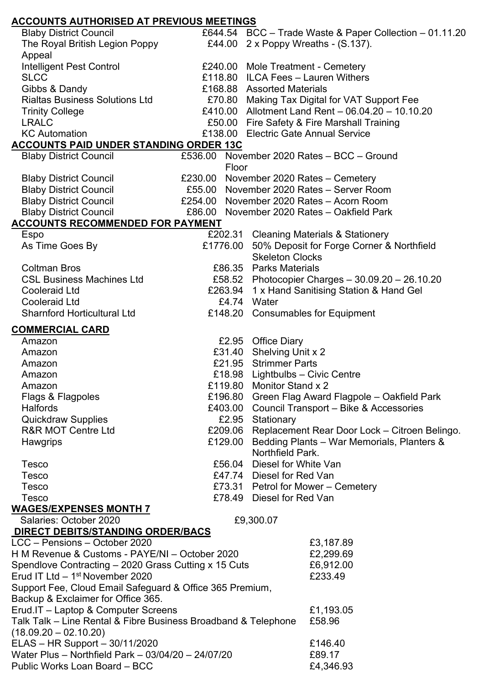| <b>ACCOUNTS AUTHORISED AT PREVIOUS MEETINGS</b>                |         |                                                         |
|----------------------------------------------------------------|---------|---------------------------------------------------------|
| <b>Blaby District Council</b>                                  |         | £644.54 BCC - Trade Waste & Paper Collection - 01.11.20 |
| The Royal British Legion Poppy                                 |         | £44.00 $2 \times$ Poppy Wreaths - $(S.137)$ .           |
| Appeal                                                         |         |                                                         |
| Intelligent Pest Control                                       |         | £240.00 Mole Treatment - Cemetery                       |
| <b>SLCC</b>                                                    |         | £118.80 ILCA Fees - Lauren Withers                      |
| Gibbs & Dandy                                                  |         | £168.88 Assorted Materials                              |
| <b>Rialtas Business Solutions Ltd</b>                          |         | £70.80 Making Tax Digital for VAT Support Fee           |
| <b>Trinity College</b>                                         |         | £410.00 Allotment Land Rent - 06.04.20 - 10.10.20       |
| <b>LRALC</b>                                                   |         | £50.00 Fire Safety & Fire Marshall Training             |
| <b>KC Automation</b>                                           |         | £138.00 Electric Gate Annual Service                    |
| <b>ACCOUNTS PAID UNDER STANDING ORDER 13C</b>                  |         |                                                         |
| <b>Blaby District Council</b>                                  |         | £536.00 November 2020 Rates - BCC - Ground              |
| Floor                                                          |         |                                                         |
| <b>Blaby District Council</b>                                  |         | £230.00 November 2020 Rates - Cemetery                  |
| <b>Blaby District Council</b>                                  |         | £55.00 November 2020 Rates - Server Room                |
| <b>Blaby District Council</b>                                  |         | £254.00 November 2020 Rates - Acorn Room                |
| <b>Blaby District Council</b>                                  |         | £86.00 November 2020 Rates - Oakfield Park              |
| <b>ACCOUNTS RECOMMENDED FOR PAYMENT</b>                        |         |                                                         |
| Espo                                                           |         | £202.31 Cleaning Materials & Stationery                 |
| As Time Goes By                                                |         | £1776.00 50% Deposit for Forge Corner & Northfield      |
|                                                                |         | <b>Skeleton Clocks</b>                                  |
| <b>Coltman Bros</b>                                            |         | £86.35 Parks Materials                                  |
| <b>CSL Business Machines Ltd</b>                               |         | £58.52 Photocopier Charges - 30.09.20 - 26.10.20        |
| <b>Cooleraid Ltd</b>                                           |         | £263.94 1 x Hand Sanitising Station & Hand Gel          |
| <b>Cooleraid Ltd</b>                                           |         | £4.74 Water                                             |
| <b>Sharnford Horticultural Ltd</b>                             |         | £148.20 Consumables for Equipment                       |
| <b>COMMERCIAL CARD</b>                                         |         |                                                         |
| Amazon                                                         |         | £2.95 Office Diary                                      |
| Amazon                                                         |         | £31.40 Shelving Unit x 2                                |
| Amazon                                                         |         | £21.95 Strimmer Parts                                   |
| Amazon                                                         |         | £18.98 Lightbulbs - Civic Centre                        |
| Amazon                                                         |         | £119.80 Monitor Stand x 2                               |
| Flags & Flagpoles                                              |         | £196.80 Green Flag Award Flagpole - Oakfield Park       |
| <b>Halfords</b>                                                | £403.00 | Council Transport - Bike & Accessories                  |
| <b>Quickdraw Supplies</b>                                      | £2.95   | Stationary                                              |
| <b>R&amp;R MOT Centre Ltd</b>                                  |         | £209.06 Replacement Rear Door Lock - Citroen Belingo.   |
| <b>Hawgrips</b>                                                | £129.00 | Bedding Plants - War Memorials, Planters &              |
|                                                                |         | Northfield Park.                                        |
| <b>Tesco</b>                                                   |         | £56.04 Diesel for White Van                             |
| <b>Tesco</b>                                                   |         | £47.74 Diesel for Red Van                               |
| <b>Tesco</b>                                                   |         | £73.31 Petrol for Mower - Cemetery                      |
| <b>Tesco</b>                                                   |         | £78.49 Diesel for Red Van                               |
| <b>WAGES/EXPENSES MONTH 7</b>                                  |         |                                                         |
| Salaries: October 2020                                         |         | £9,300.07                                               |
| <b>DIRECT DEBITS/STANDING ORDER/BACS</b>                       |         |                                                         |
| LCC - Pensions - October 2020                                  |         | £3,187.89                                               |
| H M Revenue & Customs - PAYE/NI - October 2020                 |         | £2,299.69                                               |
| Spendlove Contracting – 2020 Grass Cutting x 15 Cuts           |         | £6,912.00                                               |
| Erud IT Ltd $-1st$ November 2020                               |         | £233.49                                                 |
| Support Fee, Cloud Email Safeguard & Office 365 Premium,       |         |                                                         |
| Backup & Exclaimer for Office 365.                             |         |                                                         |
| Erud.IT - Laptop & Computer Screens                            |         | £1,193.05                                               |
| Talk Talk – Line Rental & Fibre Business Broadband & Telephone |         | £58.96                                                  |
| $(18.09.20 - 02.10.20)$                                        |         |                                                         |
| ELAS - HR Support - 30/11/2020                                 |         | £146.40                                                 |
| Water Plus - Northfield Park - 03/04/20 - 24/07/20             |         | £89.17                                                  |
| Public Works Loan Board - BCC                                  |         | £4,346.93                                               |